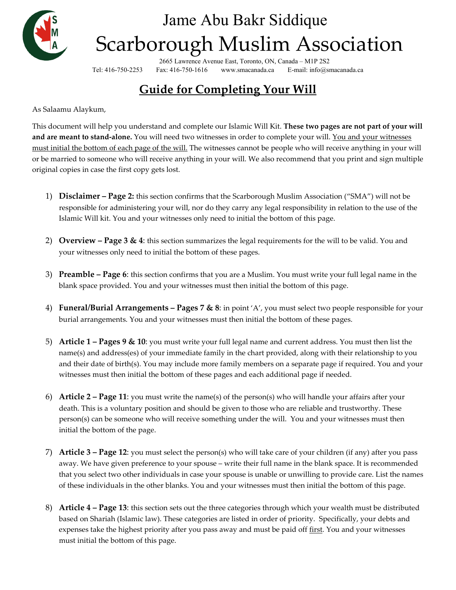

# Jame Abu Bakr Siddique Scarborough Muslim Association

2665 Lawrence Avenue East, Toronto, ON, Canada – M1P 2S2 Tel: 416-750-2253 Fax: 416-750-1616 www.smacanada.ca E-mail: info@smacanada.ca

# **Guide for Completing Your Will**

As Salaamu Alaykum,

This document will help you understand and complete our Islamic Will Kit. **These two pages are not part of your will and are meant to stand-alone.** You will need two witnesses in order to complete your will. You and your witnesses must initial the bottom of each page of the will. The witnesses cannot be people who will receive anything in your will or be married to someone who will receive anything in your will. We also recommend that you print and sign multiple original copies in case the first copy gets lost.

- 1) **Disclaimer – Page 2:** this section confirms that the Scarborough Muslim Association ("SMA") will not be responsible for administering your will, nor do they carry any legal responsibility in relation to the use of the Islamic Will kit. You and your witnesses only need to initial the bottom of this page.
- 2) **Overview – Page 3 & 4**: this section summarizes the legal requirements for the will to be valid. You and your witnesses only need to initial the bottom of these pages.
- 3) **Preamble – Page 6**: this section confirms that you are a Muslim. You must write your full legal name in the blank space provided. You and your witnesses must then initial the bottom of this page.
- 4) **Funeral/Burial Arrangements – Pages 7 & 8**: in point 'A', you must select two people responsible for your burial arrangements. You and your witnesses must then initial the bottom of these pages.
- 5) **Article 1 – Pages 9 & 10**: you must write your full legal name and current address. You must then list the name(s) and address(es) of your immediate family in the chart provided, along with their relationship to you and their date of birth(s). You may include more family members on a separate page if required. You and your witnesses must then initial the bottom of these pages and each additional page if needed.
- 6) **Article 2 – Page 11**: you must write the name(s) of the person(s) who will handle your affairs after your death. This is a voluntary position and should be given to those who are reliable and trustworthy. These person(s) can be someone who will receive something under the will. You and your witnesses must then initial the bottom of the page.
- 7) **Article 3 – Page 12**: you must select the person(s) who will take care of your children (if any) after you pass away. We have given preference to your spouse – write their full name in the blank space. It is recommended that you select two other individuals in case your spouse is unable or unwilling to provide care. List the names of these individuals in the other blanks. You and your witnesses must then initial the bottom of this page.
- 8) **Article 4 – Page 13**: this section sets out the three categories through which your wealth must be distributed based on Shariah (Islamic law). These categories are listed in order of priority. Specifically, your debts and expenses take the highest priority after you pass away and must be paid off first. You and your witnesses must initial the bottom of this page.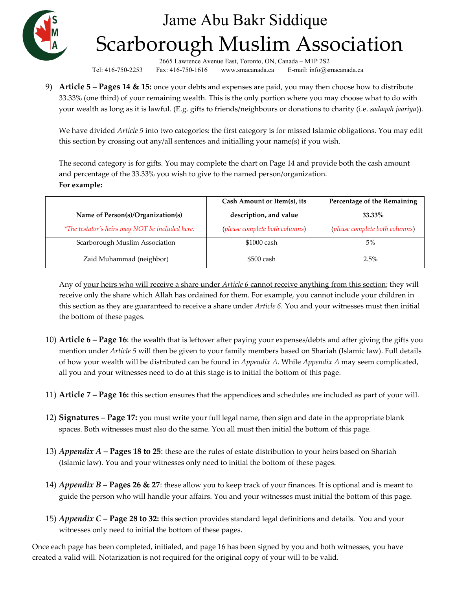

# Jame Abu Bakr Siddique Scarborough Muslim Association

2665 Lawrence Avenue East, Toronto, ON, Canada – M1P 2S2 Tel: 416-750-2253 Fax: 416-750-1616 www.smacanada.ca E-mail: info@smacanada.ca

9) **Article 5 – Pages 14 & 15:** once your debts and expenses are paid, you may then choose how to distribute 33.33% (one third) of your remaining wealth. This is the only portion where you may choose what to do with your wealth as long as it is lawful. (E.g. gifts to friends/neighbours or donations to charity (i.e. *sadaqah jaariya*)).

We have divided *Article 5* into two categories: the first category is for missed Islamic obligations. You may edit this section by crossing out any/all sentences and initialling your name(s) if you wish.

The second category is for gifts. You may complete the chart on Page 14 and provide both the cash amount and percentage of the 33.33% you wish to give to the named person/organization. **For example:**

|                                                 | Cash Amount or Item(s), its    | Percentage of the Remaining    |
|-------------------------------------------------|--------------------------------|--------------------------------|
| Name of Person(s)/Organization(s)               | description, and value         | 33.33%                         |
| *The testator's heirs may NOT be included here. | (please complete both columns) | (please complete both columns) |
| Scarborough Muslim Association                  | \$1000 cash                    | 5%                             |
| Zaid Muhammad (neighbor)                        | \$500 cash                     | 2.5%                           |

Any of your heirs who will receive a share under *Article 6* cannot receive anything from this section; they will receive only the share which Allah has ordained for them. For example, you cannot include your children in this section as they are guaranteed to receive a share under *Article 6.* You and your witnesses must then initial the bottom of these pages.

- 10) **Article 6 – Page 16**: the wealth that is leftover after paying your expenses/debts and after giving the gifts you mention under *Article 5* will then be given to your family members based on Shariah (Islamic law). Full details of how your wealth will be distributed can be found in *Appendix A*. While *Appendix A* may seem complicated, all you and your witnesses need to do at this stage is to initial the bottom of this page.
- 11) **Article 7 – Page 16:** this section ensures that the appendices and schedules are included as part of your will.
- 12) **Signatures – Page 17:** you must write your full legal name, then sign and date in the appropriate blank spaces. Both witnesses must also do the same. You all must then initial the bottom of this page.
- 13) *Appendix A* **– Pages 18 to 25**: these are the rules of estate distribution to your heirs based on Shariah (Islamic law). You and your witnesses only need to initial the bottom of these pages.
- 14) *Appendix B* **– Pages 26 & 27**: these allow you to keep track of your finances. It is optional and is meant to guide the person who will handle your affairs. You and your witnesses must initial the bottom of this page.
- 15) *Appendix C* **– Page 28 to 32:** this section provides standard legal definitions and details. You and your witnesses only need to initial the bottom of these pages.

Once each page has been completed, initialed, and page 16 has been signed by you and both witnesses, you have created a valid will. Notarization is not required for the original copy of your will to be valid.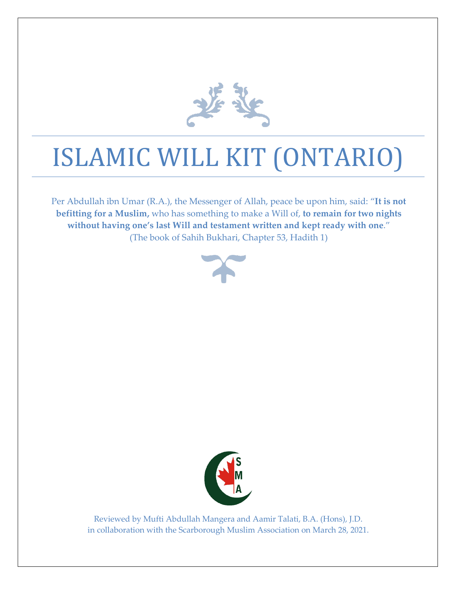

# ISLAMIC WILL KIT (ONTARIO)

Per Abdullah ibn Umar (R.A.), the Messenger of Allah, peace be upon him, said: "**It is not befitting for a Muslim,** who has something to make a Will of, **to remain for two nights without having one's last Will and testament written and kept ready with one**." (The book of Sahih Bukhari, Chapter 53, Hadith 1)





Reviewed by Mufti Abdullah Mangera and Aamir Talati, B.A. (Hons), J.D. in collaboration with the Scarborough Muslim Association on March 28, 2021.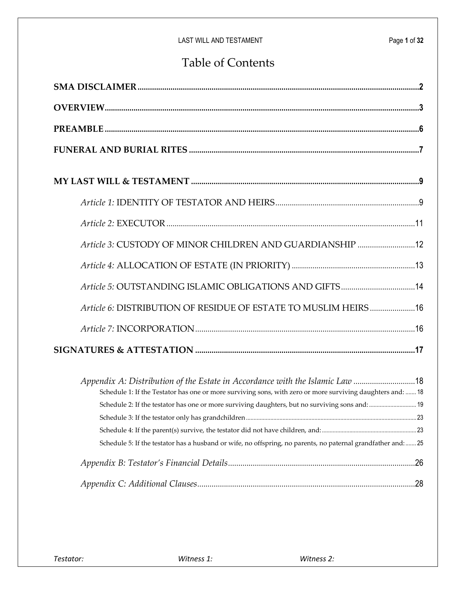# Table of Contents

| Article 3: CUSTODY OF MINOR CHILDREN AND GUARDIANSHIP  12                                                                                                                                  |
|--------------------------------------------------------------------------------------------------------------------------------------------------------------------------------------------|
|                                                                                                                                                                                            |
| Article 5: OUTSTANDING ISLAMIC OBLIGATIONS AND GIFTS  14                                                                                                                                   |
| Article 6: DISTRIBUTION OF RESIDUE OF ESTATE TO MUSLIM HEIRS 16                                                                                                                            |
|                                                                                                                                                                                            |
|                                                                                                                                                                                            |
| Appendix A: Distribution of the Estate in Accordance with the Islamic Law 18<br>Schedule 1: If the Testator has one or more surviving sons, with zero or more surviving daughters and:  18 |
| Schedule 2: If the testator has one or more surviving daughters, but no surviving sons and:  19                                                                                            |
|                                                                                                                                                                                            |
|                                                                                                                                                                                            |
| Schedule 5: If the testator has a husband or wife, no offspring, no parents, no paternal grandfather and:  25                                                                              |
|                                                                                                                                                                                            |
|                                                                                                                                                                                            |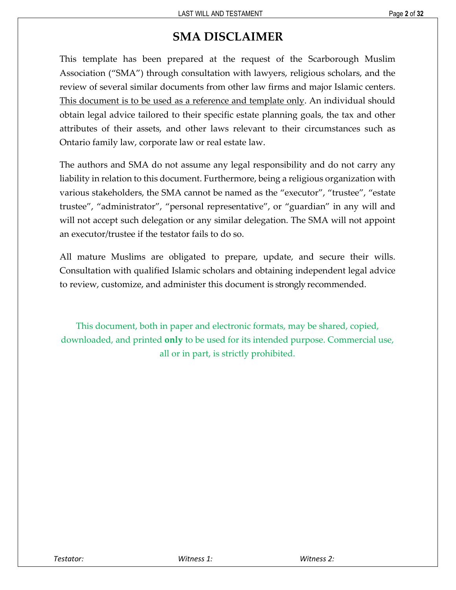# **SMA DISCLAIMER**

<span id="page-4-0"></span>This template has been prepared at the request of the Scarborough Muslim Association ("SMA") through consultation with lawyers, religious scholars, and the review of several similar documents from other law firms and major Islamic centers. This document is to be used as a reference and template only. An individual should obtain legal advice tailored to their specific estate planning goals, the tax and other attributes of their assets, and other laws relevant to their circumstances such as Ontario family law, corporate law or real estate law.

The authors and SMA do not assume any legal responsibility and do not carry any liability in relation to this document. Furthermore, being a religious organization with various stakeholders, the SMA cannot be named as the "executor", "trustee", "estate trustee", "administrator", "personal representative", or "guardian" in any will and will not accept such delegation or any similar delegation. The SMA will not appoint an executor/trustee if the testator fails to do so.

All mature Muslims are obligated to prepare, update, and secure their wills. Consultation with qualified Islamic scholars and obtaining independent legal advice to review, customize, and administer this document is strongly recommended.

This document, both in paper and electronic formats, may be shared, copied, downloaded, and printed **only** to be used for its intended purpose. Commercial use, all or in part, is strictly prohibited.

*Testator: Witness 1: Witness 2:*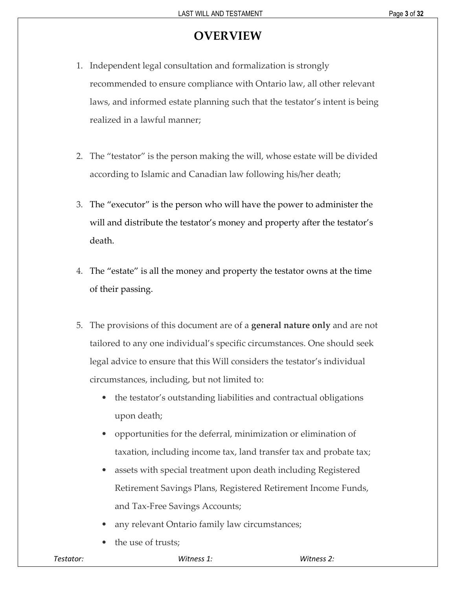# **OVERVIEW**

- <span id="page-5-0"></span>1. Independent legal consultation and formalization is strongly recommended to ensure compliance with Ontario law, all other relevant laws, and informed estate planning such that the testator's intent is being realized in a lawful manner;
- 2. The "testator" is the person making the will, whose estate will be divided according to Islamic and Canadian law following his/her death;
- 3. The "executor" is the person who will have the power to administer the will and distribute the testator's money and property after the testator's death.
- 4. The "estate" is all the money and property the testator owns at the time of their passing.
- 5. The provisions of this document are of a **general nature only** and are not tailored to any one individual's specific circumstances. One should seek legal advice to ensure that this Will considers the testator's individual circumstances, including, but not limited to:
	- the testator's outstanding liabilities and contractual obligations upon death;
	- opportunities for the deferral, minimization or elimination of taxation, including income tax, land transfer tax and probate tax;
	- assets with special treatment upon death including Registered Retirement Savings Plans, Registered Retirement Income Funds, and Tax-Free Savings Accounts;
	- any relevant Ontario family law circumstances;
	- the use of trusts;

| Testator: |
|-----------|
|-----------|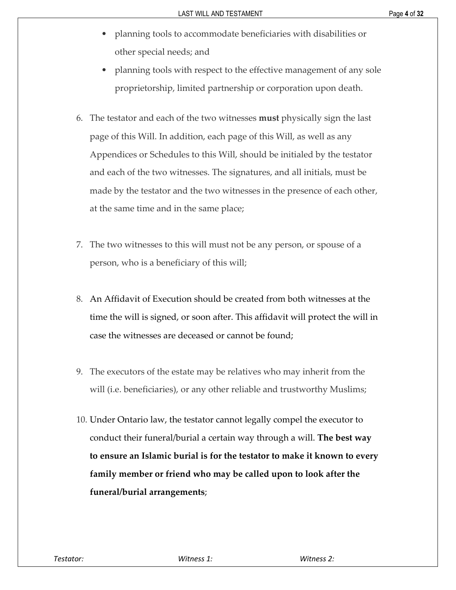- planning tools to accommodate beneficiaries with disabilities or other special needs; and
- planning tools with respect to the effective management of any sole proprietorship, limited partnership or corporation upon death.
- 6. The testator and each of the two witnesses **must** physically sign the last page of this Will. In addition, each page of this Will, as well as any Appendices or Schedules to this Will, should be initialed by the testator and each of the two witnesses. The signatures, and all initials, must be made by the testator and the two witnesses in the presence of each other, at the same time and in the same place;
- 7. The two witnesses to this will must not be any person, or spouse of a person, who is a beneficiary of this will;
- 8. An Affidavit of Execution should be created from both witnesses at the time the will is signed, or soon after. This affidavit will protect the will in case the witnesses are deceased or cannot be found;
- 9. The executors of the estate may be relatives who may inherit from the will (*i.e.* beneficiaries), or any other reliable and trustworthy Muslims;
- 10. Under Ontario law, the testator cannot legally compel the executor to conduct their funeral/burial a certain way through a will. **The best way to ensure an Islamic burial is for the testator to make it known to every family member or friend who may be called upon to look after the funeral/burial arrangements**;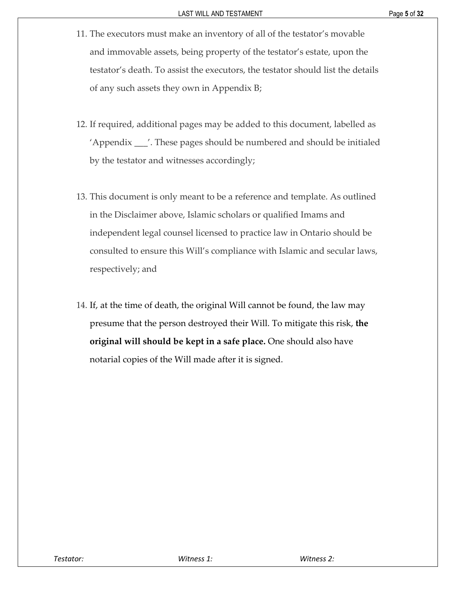- 11. The executors must make an inventory of all of the testator's movable and immovable assets, being property of the testator's estate, upon the testator's death. To assist the executors, the testator should list the details of any such assets they own in Appendix B;
- 12. If required, additional pages may be added to this document, labelled as 'Appendix \_\_\_'. These pages should be numbered and should be initialed by the testator and witnesses accordingly;
- 13. This document is only meant to be a reference and template. As outlined in the Disclaimer above, Islamic scholars or qualified Imams and independent legal counsel licensed to practice law in Ontario should be consulted to ensure this Will's compliance with Islamic and secular laws, respectively; and
- 14. If, at the time of death, the original Will cannot be found, the law may presume that the person destroyed their Will. To mitigate this risk, **the original will should be kept in a safe place.** One should also have notarial copies of the Will made after it is signed.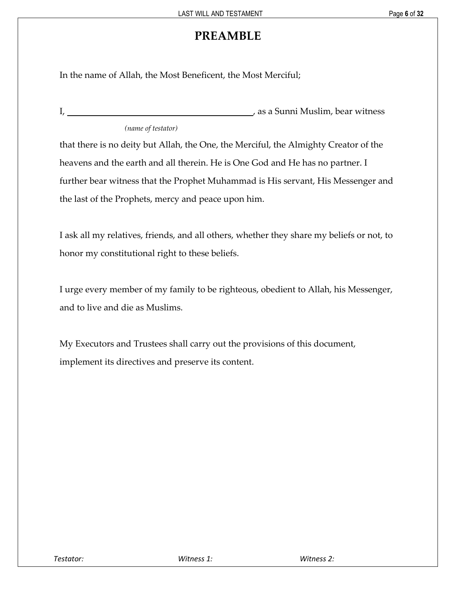# **PREAMBLE**

<span id="page-8-0"></span>In the name of Allah, the Most Beneficent, the Most Merciful;

| л.                 | , as a Sunni Muslim, bear witness |
|--------------------|-----------------------------------|
| (name of testator) |                                   |

that there is no deity but Allah, the One, the Merciful, the Almighty Creator of the heavens and the earth and all therein. He is One God and He has no partner. I further bear witness that the Prophet Muhammad is His servant, His Messenger and the last of the Prophets, mercy and peace upon him.

I ask all my relatives, friends, and all others, whether they share my beliefs or not, to honor my constitutional right to these beliefs.

I urge every member of my family to be righteous, obedient to Allah, his Messenger, and to live and die as Muslims.

My Executors and Trustees shall carry out the provisions of this document, implement its directives and preserve its content.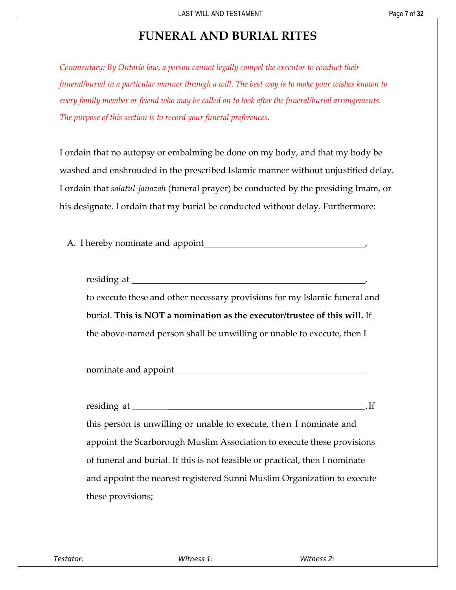# **FUNERAL AND BURIAL RITES**

<span id="page-9-0"></span>*Commentary: By Ontario law, a person cannot legally compel the executor to conduct their funeral/burial in a particular manner through a will. The best way is to make your wishes known to every family member or friend who may be called on to look after the funeral/burial arrangements. The purpose of this section is to record your funeral preferences.* 

I ordain that no autopsy or embalming be done on my body, and that my body be washed and enshrouded in the prescribed Islamic manner without unjustified delay. I ordain that *salatul-janazah* (funeral prayer) be conducted by the presiding Imam, or his designate. I ordain that my burial be conducted without delay. Furthermore:

A. I hereby nominate and appoint ,

| residing at _____                                                          |
|----------------------------------------------------------------------------|
| to execute these and other necessary provisions for my Islamic funeral and |
| burial. This is NOT a nomination as the executor/trustee of this will. If  |
| the above-named person shall be unwilling or unable to execute, then I     |

nominate and appoint

| residing at ______                                                           |
|------------------------------------------------------------------------------|
| this person is unwilling or unable to execute, then I nominate and           |
| appoint the Scarborough Muslim Association to execute these provisions       |
| of funeral and burial. If this is not feasible or practical, then I nominate |
| and appoint the nearest registered Sunni Muslim Organization to execute      |
| these provisions;                                                            |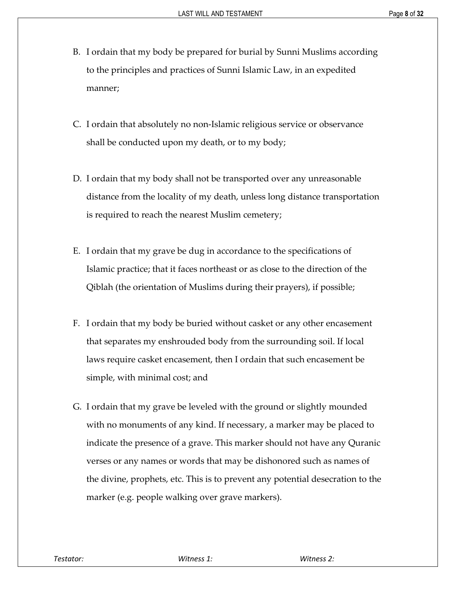- B. I ordain that my body be prepared for burial by Sunni Muslims according to the principles and practices of Sunni Islamic Law, in an expedited manner;
- C. I ordain that absolutely no non-Islamic religious service or observance shall be conducted upon my death, or to my body;
- D. I ordain that my body shall not be transported over any unreasonable distance from the locality of my death, unless long distance transportation is required to reach the nearest Muslim cemetery;
- E. I ordain that my grave be dug in accordance to the specifications of Islamic practice; that it faces northeast or as close to the direction of the Qiblah (the orientation of Muslims during their prayers), if possible;
- F. I ordain that my body be buried without casket or any other encasement that separates my enshrouded body from the surrounding soil. If local laws require casket encasement, then I ordain that such encasement be simple, with minimal cost; and
- G. I ordain that my grave be leveled with the ground or slightly mounded with no monuments of any kind. If necessary, a marker may be placed to indicate the presence of a grave. This marker should not have any Quranic verses or any names or words that may be dishonored such as names of the divine, prophets, etc. This is to prevent any potential desecration to the marker (e.g. people walking over grave markers).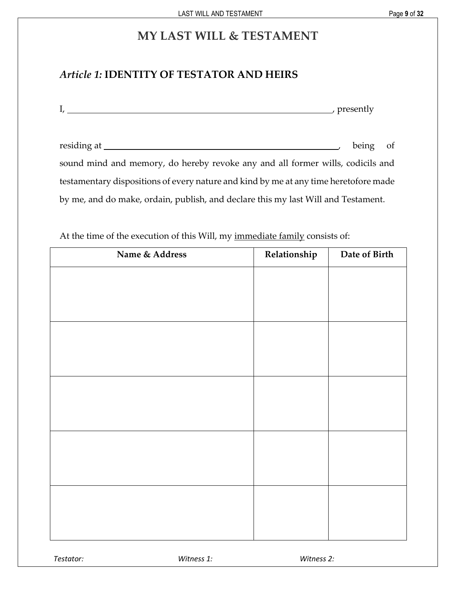# **MY LAST WILL & TESTAMENT**

# <span id="page-11-1"></span><span id="page-11-0"></span>*Article 1:* **IDENTITY OF TESTATOR AND HEIRS**

| $\blacksquare$ | $n\nu$           |
|----------------|------------------|
| .,             | <b>DI COLITA</b> |
|                |                  |

|                                                                                      | being of |  |  |
|--------------------------------------------------------------------------------------|----------|--|--|
| sound mind and memory, do hereby revoke any and all former wills, codicils and       |          |  |  |
| testamentary dispositions of every nature and kind by me at any time heretofore made |          |  |  |
| by me, and do make, ordain, publish, and declare this my last Will and Testament.    |          |  |  |

At the time of the execution of this Will, my immediate family consists of:

|           | Name & Address | Relationship | Date of Birth |
|-----------|----------------|--------------|---------------|
|           |                |              |               |
|           |                |              |               |
|           |                |              |               |
|           |                |              |               |
|           |                |              |               |
|           |                |              |               |
|           |                |              |               |
|           |                |              |               |
|           |                |              |               |
|           |                |              |               |
|           |                |              |               |
|           |                |              |               |
|           |                |              |               |
|           |                |              |               |
|           |                |              |               |
| Testator: | Witness 1:     | Witness 2:   |               |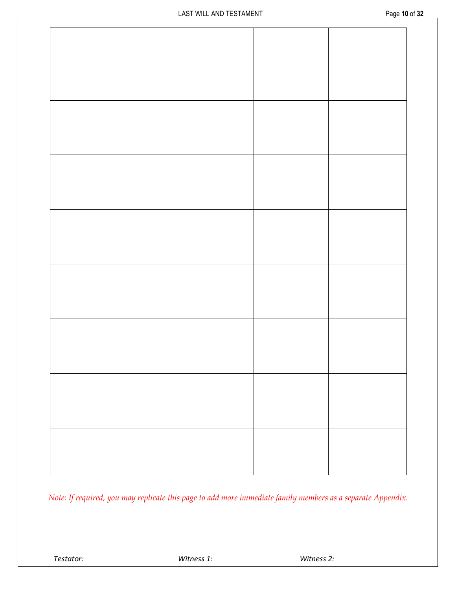| Page 10 of 32 |  |  |
|---------------|--|--|
|               |  |  |

*Note: If required, you may replicate this page to add more immediate family members as a separate Appendix.*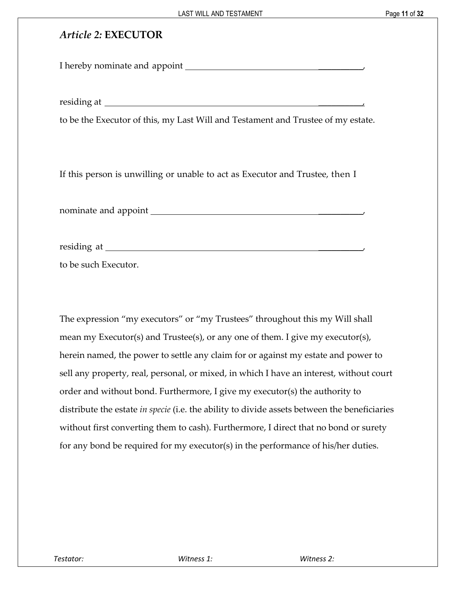# <span id="page-13-0"></span>*Article 2:* **EXECUTOR**

I hereby nominate and appoint \_\_\_\_\_\_\_\_\_\_,

residing at \_\_\_\_\_\_\_\_\_\_,

to be the Executor of this, my Last Will and Testament and Trustee of my estate.

If this person is unwilling or unable to act as Executor and Trustee, then I

nominate and appoint **with a set of the set of the set of the set of the set of the set of the set of the set of the set of the set of the set of the set of the set of the set of the set of the set of the set of the set of** 

residing at \_\_\_\_\_\_\_\_\_\_,

to be such Executor.

The expression "my executors" or "my Trustees" throughout this my Will shall mean my Executor(s) and Trustee(s), or any one of them. I give my executor(s), herein named, the power to settle any claim for or against my estate and power to sell any property, real, personal, or mixed, in which I have an interest, without court order and without bond. Furthermore, I give my executor(s) the authority to distribute the estate *in specie* (i.e. the ability to divide assets between the beneficiaries without first converting them to cash). Furthermore, I direct that no bond or surety for any bond be required for my executor(s) in the performance of his/her duties.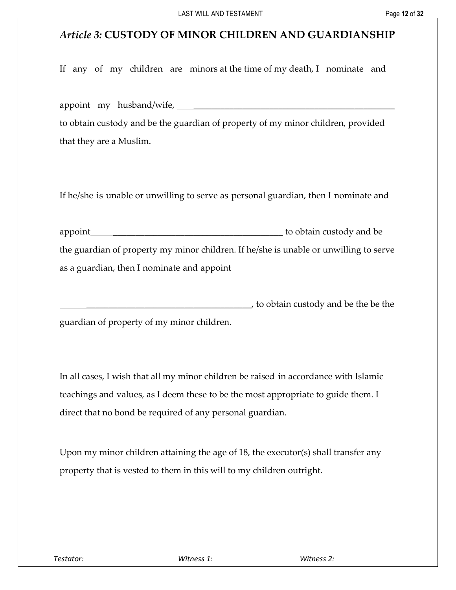# <span id="page-14-0"></span>*Article 3:* **CUSTODY OF MINOR CHILDREN AND GUARDIANSHIP**

If any of my children are minors at the time of my death, I nominate and

appoint my husband/wife, to obtain custody and be the guardian of property of my minor children, provided that they are a Muslim.

If he/she is unable or unwilling to serve as personal guardian, then I nominate and

| appoint_                                                                              | to obtain custody and be |
|---------------------------------------------------------------------------------------|--------------------------|
| the guardian of property my minor children. If he/she is unable or unwilling to serve |                          |
| as a guardian, then I nominate and appoint                                            |                          |

 $_J$  to obtain custody and be the be the guardian of property of my minor children.

In all cases, I wish that all my minor children be raised in accordance with Islamic teachings and values, as I deem these to be the most appropriate to guide them. I direct that no bond be required of any personal guardian.

Upon my minor children attaining the age of 18, the executor(s) shall transfer any property that is vested to them in this will to my children outright.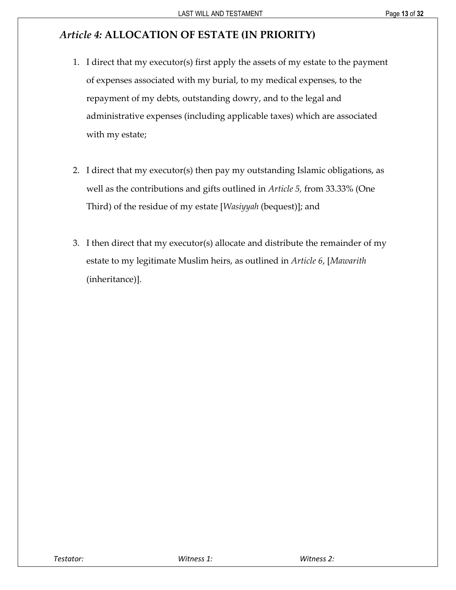# <span id="page-15-0"></span>*Article 4:* **ALLOCATION OF ESTATE (IN PRIORITY)**

- 1. I direct that my executor(s) first apply the assets of my estate to the payment of expenses associated with my burial, to my medical expenses, to the repayment of my debts, outstanding dowry, and to the legal and administrative expenses (including applicable taxes) which are associated with my estate;
- 2. I direct that my executor(s) then pay my outstanding Islamic obligations, as well as the contributions and gifts outlined in *Article 5,* from 33.33% (One Third) of the residue of my estate [*Wasiyyah* (bequest)]; and
- 3. I then direct that my executor(s) allocate and distribute the remainder of my estate to my legitimate Muslim heirs, as outlined in *Article 6*, [*Mawarith* (inheritance)].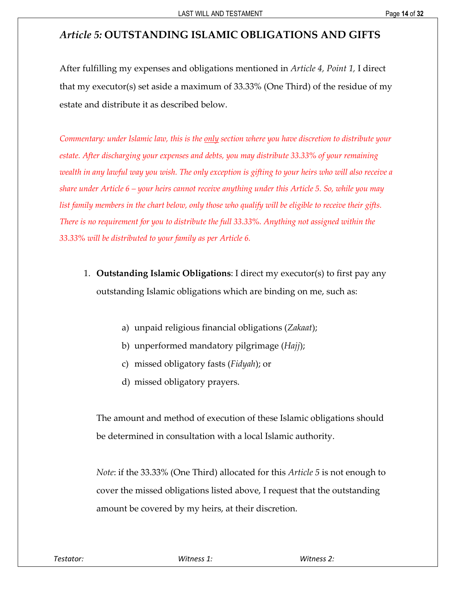# <span id="page-16-0"></span>*Article 5:* **OUTSTANDING ISLAMIC OBLIGATIONS AND GIFTS**

After fulfilling my expenses and obligations mentioned in *Article 4, Point 1,* I direct that my executor(s) set aside a maximum of 33.33% (One Third) of the residue of my estate and distribute it as described below.

*Commentary: under Islamic law, this is the only section where you have discretion to distribute your estate. After discharging your expenses and debts, you may distribute 33.33% of your remaining wealth in any lawful way you wish. The only exception is gifting to your heirs who will also receive a share under Article 6 – your heirs cannot receive anything under this Article 5. So, while you may list family members in the chart below, only those who qualify will be eligible to receive their gifts. There is no requirement for you to distribute the full 33.33%. Anything not assigned within the 33.33% will be distributed to your family as per Article 6.*

- 1. **Outstanding Islamic Obligations**: I direct my executor(s) to first pay any outstanding Islamic obligations which are binding on me, such as:
	- a) unpaid religious financial obligations (*Zakaat*);
	- b) unperformed mandatory pilgrimage (*Hajj*);
	- c) missed obligatory fasts (*Fidyah*); or
	- d) missed obligatory prayers.

The amount and method of execution of these Islamic obligations should be determined in consultation with a local Islamic authority.

*Note*: if the 33.33% (One Third) allocated for this *Article 5* is not enough to cover the missed obligations listed above, I request that the outstanding amount be covered by my heirs, at their discretion.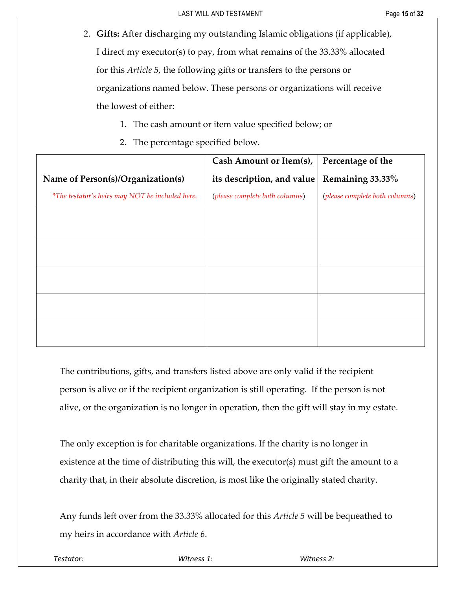- 2. **Gifts:** After discharging my outstanding Islamic obligations (if applicable), I direct my executor(s) to pay, from what remains of the 33.33% allocated for this *Article 5*, the following gifts or transfers to the persons or organizations named below. These persons or organizations will receive the lowest of either:
	- 1. The cash amount or item value specified below; or
	- 2. The percentage specified below.

|                                                 | Cash Amount or Item(s),        | Percentage of the              |
|-------------------------------------------------|--------------------------------|--------------------------------|
| Name of Person(s)/Organization(s)               | its description, and value     | Remaining 33.33%               |
| *The testator's heirs may NOT be included here. | (please complete both columns) | (please complete both columns) |
|                                                 |                                |                                |
|                                                 |                                |                                |
|                                                 |                                |                                |
|                                                 |                                |                                |
|                                                 |                                |                                |
|                                                 |                                |                                |
|                                                 |                                |                                |
|                                                 |                                |                                |
|                                                 |                                |                                |

The contributions, gifts, and transfers listed above are only valid if the recipient person is alive or if the recipient organization is still operating. If the person is not alive, or the organization is no longer in operation, then the gift will stay in my estate.

The only exception is for charitable organizations. If the charity is no longer in existence at the time of distributing this will, the executor(s) must gift the amount to a charity that, in their absolute discretion, is most like the originally stated charity.

Any funds left over from the 33.33% allocated for this *Article 5* will be bequeathed to my heirs in accordance with *Article 6*.

*Testator: Witness 1: Witness 2:*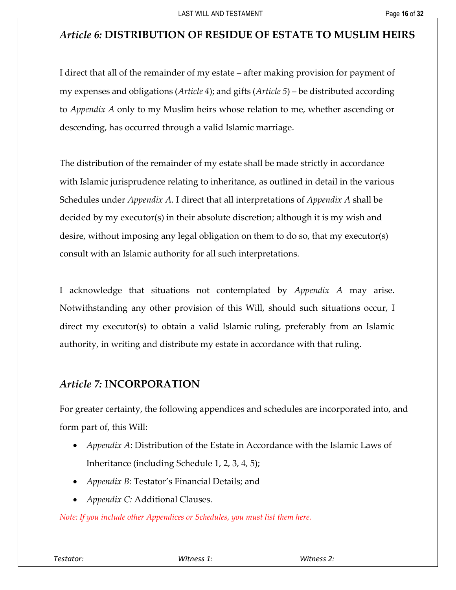# <span id="page-18-0"></span>*Article 6:* **DISTRIBUTION OF RESIDUE OF ESTATE TO MUSLIM HEIRS**

I direct that all of the remainder of my estate – after making provision for payment of my expenses and obligations (*Article 4*); and gifts (*Article 5*) – be distributed according to *Appendix A* only to my Muslim heirs whose relation to me, whether ascending or descending, has occurred through a valid Islamic marriage.

The distribution of the remainder of my estate shall be made strictly in accordance with Islamic jurisprudence relating to inheritance, as outlined in detail in the various Schedules under *Appendix A*. I direct that all interpretations of *Appendix A* shall be decided by my executor(s) in their absolute discretion; although it is my wish and desire, without imposing any legal obligation on them to do so, that my executor(s) consult with an Islamic authority for all such interpretations.

I acknowledge that situations not contemplated by *Appendix A* may arise. Notwithstanding any other provision of this Will, should such situations occur, I direct my executor(s) to obtain a valid Islamic ruling, preferably from an Islamic authority, in writing and distribute my estate in accordance with that ruling.

### <span id="page-18-1"></span>*Article 7:* **INCORPORATION**

For greater certainty, the following appendices and schedules are incorporated into, and form part of, this Will:

- *Appendix A*: Distribution of the Estate in Accordance with the Islamic Laws of Inheritance (including Schedule 1, 2, 3, 4, 5);
- *Appendix B:* Testator's Financial Details; and
- *Appendix C:* Additional Clauses.

*Note: If you include other Appendices or Schedules, you must list them here.*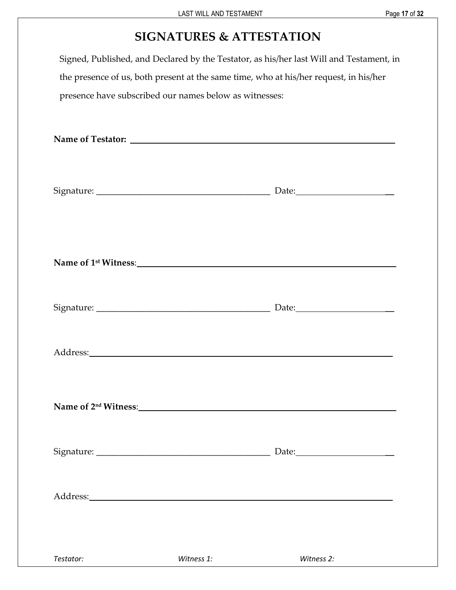# **SIGNATURES & ATTESTATION**

<span id="page-19-0"></span>Signed, Published, and Declared by the Testator, as his/her last Will and Testament, in the presence of us, both present at the same time, who at his/her request, in his/her presence have subscribed our names below as witnesses:

| Address:<br><u> 1980 - Jan Samuel Barbara, martin di</u> |            |            |
|----------------------------------------------------------|------------|------------|
|                                                          |            |            |
| Testator:                                                | Witness 1: | Witness 2: |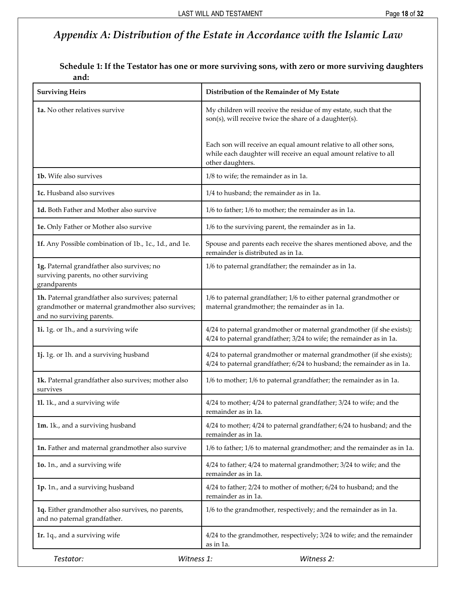# <span id="page-20-0"></span>*Appendix A: Distribution of the Estate in Accordance with the Islamic Law*

**Schedule 1: If the Testator has one or more surviving sons, with zero or more surviving daughters and:**

<span id="page-20-1"></span>

| <b>Surviving Heirs</b>                                                                                                              | Distribution of the Remainder of My Estate                                                                                                                |
|-------------------------------------------------------------------------------------------------------------------------------------|-----------------------------------------------------------------------------------------------------------------------------------------------------------|
| 1a. No other relatives survive                                                                                                      | My children will receive the residue of my estate, such that the<br>son(s), will receive twice the share of a daughter(s).                                |
|                                                                                                                                     | Each son will receive an equal amount relative to all other sons,<br>while each daughter will receive an equal amount relative to all<br>other daughters. |
| 1b. Wife also survives                                                                                                              | 1/8 to wife; the remainder as in 1a.                                                                                                                      |
| 1c. Husband also survives                                                                                                           | 1/4 to husband; the remainder as in 1a.                                                                                                                   |
| 1d. Both Father and Mother also survive                                                                                             | 1/6 to father; 1/6 to mother; the remainder as in 1a.                                                                                                     |
| 1e. Only Father or Mother also survive                                                                                              | 1/6 to the surviving parent, the remainder as in 1a.                                                                                                      |
| 1f. Any Possible combination of 1b., 1c., 1d., and 1e.                                                                              | Spouse and parents each receive the shares mentioned above, and the<br>remainder is distributed as in 1a.                                                 |
| 1g. Paternal grandfather also survives; no<br>surviving parents, no other surviving<br>grandparents                                 | 1/6 to paternal grandfather; the remainder as in 1a.                                                                                                      |
| 1h. Paternal grandfather also survives; paternal<br>grandmother or maternal grandmother also survives;<br>and no surviving parents. | 1/6 to paternal grandfather; 1/6 to either paternal grandmother or<br>maternal grandmother; the remainder as in 1a.                                       |
| 1i. 1g. or 1h., and a surviving wife                                                                                                | 4/24 to paternal grandmother or maternal grandmother (if she exists);<br>4/24 to paternal grandfather; 3/24 to wife; the remainder as in 1a.              |
| 1j. 1g. or 1h. and a surviving husband                                                                                              | 4/24 to paternal grandmother or maternal grandmother (if she exists);<br>4/24 to paternal grandfather; 6/24 to husband; the remainder as in 1a.           |
| 1k. Paternal grandfather also survives; mother also<br>survives                                                                     | 1/6 to mother; 1/6 to paternal grandfather; the remainder as in 1a.                                                                                       |
| 1l. 1k., and a surviving wife                                                                                                       | 4/24 to mother; 4/24 to paternal grandfather; 3/24 to wife; and the<br>remainder as in 1a.                                                                |
| 1m. 1k., and a surviving husband                                                                                                    | 4/24 to mother; 4/24 to paternal grandfather; 6/24 to husband; and the<br>remainder as in 1a.                                                             |
| 1n. Father and maternal grandmother also survive                                                                                    | 1/6 to father; 1/6 to maternal grandmother; and the remainder as in 1a.                                                                                   |
| 1o. 1n., and a surviving wife                                                                                                       | 4/24 to father; 4/24 to maternal grandmother; 3/24 to wife; and the<br>remainder as in 1a.                                                                |
| 1p. 1n., and a surviving husband                                                                                                    | 4/24 to father; 2/24 to mother of mother; 6/24 to husband; and the<br>remainder as in 1a.                                                                 |
| 1q. Either grandmother also survives, no parents,<br>and no paternal grandfather.                                                   | 1/6 to the grandmother, respectively; and the remainder as in 1a.                                                                                         |
| 1r. 1q., and a surviving wife                                                                                                       | 4/24 to the grandmother, respectively; 3/24 to wife; and the remainder<br>as in 1a.                                                                       |
| Testator:<br>Witness 1:                                                                                                             | Witness 2:                                                                                                                                                |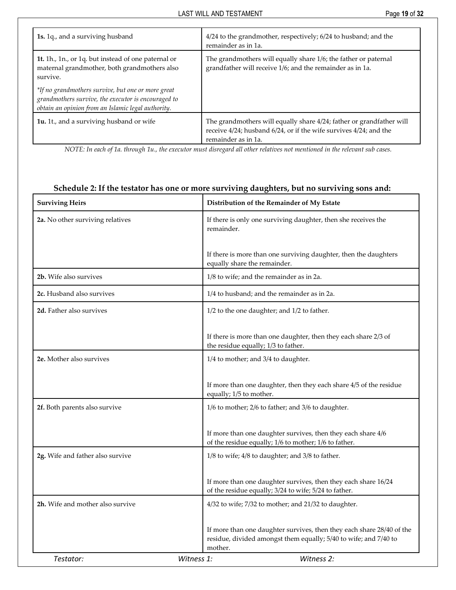| 1s. 1q., and a surviving husband                                                                                                                                | 4/24 to the grandmother, respectively; 6/24 to husband; and the<br>remainder as in 1a.                                                                           |
|-----------------------------------------------------------------------------------------------------------------------------------------------------------------|------------------------------------------------------------------------------------------------------------------------------------------------------------------|
| 1t. 1h., 1n., or 1q. but instead of one paternal or<br>maternal grandmother, both grandmothers also<br>survive.                                                 | The grandmothers will equally share 1/6; the father or paternal<br>grandfather will receive 1/6; and the remainder as in 1a.                                     |
| *If no grandmothers survive, but one or more great<br>grandmothers survive, the executor is encouraged to<br>obtain an opinion from an Islamic legal authority. |                                                                                                                                                                  |
| 1u. 1t., and a surviving husband or wife                                                                                                                        | The grandmothers will equally share 4/24; father or grandfather will<br>receive 4/24; husband 6/24, or if the wife survives 4/24; and the<br>remainder as in 1a. |

*NOTE: In each of 1a. through 1u., the executor must disregard all other relatives not mentioned in the relevant sub cases.*

<span id="page-21-0"></span>

| <b>Surviving Heirs</b>           | Distribution of the Remainder of My Estate                                                                                                           |
|----------------------------------|------------------------------------------------------------------------------------------------------------------------------------------------------|
| 2a. No other surviving relatives | If there is only one surviving daughter, then she receives the<br>remainder.                                                                         |
|                                  | If there is more than one surviving daughter, then the daughters<br>equally share the remainder.                                                     |
| 2b. Wife also survives           | 1/8 to wife; and the remainder as in 2a.                                                                                                             |
| 2c. Husband also survives        | 1/4 to husband; and the remainder as in 2a.                                                                                                          |
| 2d. Father also survives         | 1/2 to the one daughter; and 1/2 to father.                                                                                                          |
|                                  | If there is more than one daughter, then they each share 2/3 of<br>the residue equally; 1/3 to father.                                               |
| 2e. Mother also survives         | 1/4 to mother; and 3/4 to daughter.                                                                                                                  |
|                                  | If more than one daughter, then they each share 4/5 of the residue<br>equally; 1/5 to mother.                                                        |
| 2f. Both parents also survive    | 1/6 to mother; 2/6 to father; and 3/6 to daughter.                                                                                                   |
|                                  | If more than one daughter survives, then they each share 4/6<br>of the residue equally; 1/6 to mother; 1/6 to father.                                |
| 2g. Wife and father also survive | 1/8 to wife; 4/8 to daughter; and 3/8 to father.                                                                                                     |
|                                  | If more than one daughter survives, then they each share 16/24<br>of the residue equally; 3/24 to wife; 5/24 to father.                              |
| 2h. Wife and mother also survive | 4/32 to wife; 7/32 to mother; and 21/32 to daughter.                                                                                                 |
|                                  | If more than one daughter survives, then they each share 28/40 of the<br>residue, divided amongst them equally; 5/40 to wife; and 7/40 to<br>mother. |
| Testator:                        | Witness 1:<br>Witness 2:                                                                                                                             |

#### **Schedule 2: If the testator has one or more surviving daughters, but no surviving sons and:**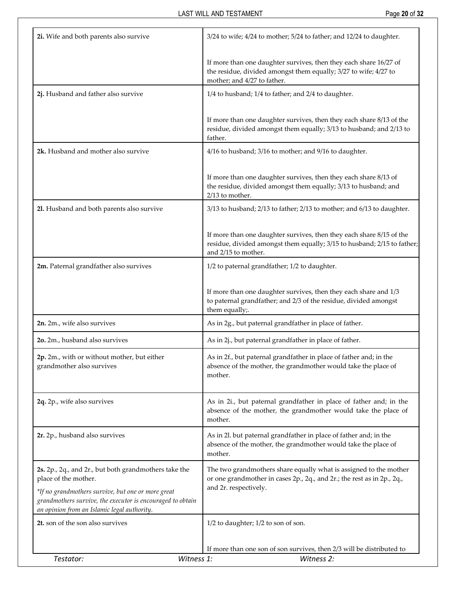| 2i. Wife and both parents also survive                                                                                                                          | 3/24 to wife; 4/24 to mother; 5/24 to father; and 12/24 to daughter.                                                                                                   |
|-----------------------------------------------------------------------------------------------------------------------------------------------------------------|------------------------------------------------------------------------------------------------------------------------------------------------------------------------|
|                                                                                                                                                                 | If more than one daughter survives, then they each share 16/27 of<br>the residue, divided amongst them equally; 3/27 to wife; 4/27 to<br>mother; and 4/27 to father.   |
| 2j. Husband and father also survive                                                                                                                             | 1/4 to husband; 1/4 to father; and 2/4 to daughter.                                                                                                                    |
|                                                                                                                                                                 | If more than one daughter survives, then they each share 8/13 of the<br>residue, divided amongst them equally; 3/13 to husband; and 2/13 to<br>father.                 |
| 2k. Husband and mother also survive                                                                                                                             | 4/16 to husband; 3/16 to mother; and 9/16 to daughter.                                                                                                                 |
|                                                                                                                                                                 | If more than one daughter survives, then they each share 8/13 of<br>the residue, divided amongst them equally; 3/13 to husband; and<br>2/13 to mother.                 |
| 21. Husband and both parents also survive                                                                                                                       | 3/13 to husband; 2/13 to father; 2/13 to mother; and 6/13 to daughter.                                                                                                 |
|                                                                                                                                                                 | If more than one daughter survives, then they each share 8/15 of the<br>residue, divided amongst them equally; 3/15 to husband; 2/15 to father;<br>and 2/15 to mother. |
| 2m. Paternal grandfather also survives                                                                                                                          | 1/2 to paternal grandfather; 1/2 to daughter.                                                                                                                          |
|                                                                                                                                                                 | If more than one daughter survives, then they each share and 1/3<br>to paternal grandfather; and 2/3 of the residue, divided amongst<br>them equally;.                 |
| 2n. 2m., wife also survives                                                                                                                                     | As in 2g., but paternal grandfather in place of father.                                                                                                                |
| 2o. 2m., husband also survives                                                                                                                                  | As in 2j., but paternal grandfather in place of father.                                                                                                                |
| 2p. 2m., with or without mother, but either<br>grandmother also survives                                                                                        | As in 2f., but paternal grandfather in place of father and; in the<br>absence of the mother, the grandmother would take the place of<br>mother.                        |
| 2q. 2p., wife also survives                                                                                                                                     | As in 2i., but paternal grandfather in place of father and; in the<br>absence of the mother, the grandmother would take the place of<br>mother.                        |
| 2r. 2p., husband also survives                                                                                                                                  | As in 2l. but paternal grandfather in place of father and; in the<br>absence of the mother, the grandmother would take the place of<br>mother.                         |
| 2s. 2p., 2q., and 2r., but both grandmothers take the<br>place of the mother.                                                                                   | The two grandmothers share equally what is assigned to the mother<br>or one grandmother in cases 2p., 2q., and 2r.; the rest as in 2p., 2q.,                           |
| *If no grandmothers survive, but one or more great<br>grandmothers survive, the executor is encouraged to obtain<br>an opinion from an Islamic legal authority. | and 2r. respectively.                                                                                                                                                  |
| 2t. son of the son also survives                                                                                                                                | 1/2 to daughter; 1/2 to son of son.                                                                                                                                    |
|                                                                                                                                                                 | If more than one son of son survives, then 2/3 will be distributed to                                                                                                  |
| Witness 1:<br>Testator:                                                                                                                                         | Witness 2:                                                                                                                                                             |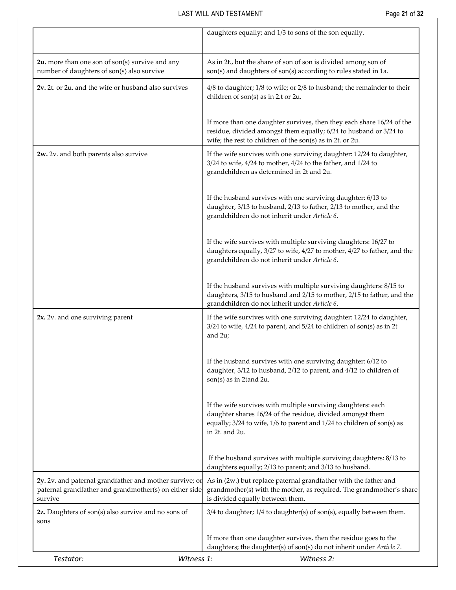|                                                                                                                              | daughters equally; and 1/3 to sons of the son equally.                                                                                                                                                                 |
|------------------------------------------------------------------------------------------------------------------------------|------------------------------------------------------------------------------------------------------------------------------------------------------------------------------------------------------------------------|
| $2u$ . more than one son of son(s) survive and any<br>number of daughters of son(s) also survive                             | As in 2t., but the share of son of son is divided among son of<br>son(s) and daughters of son(s) according to rules stated in 1a.                                                                                      |
| 2v. 2t. or 2u. and the wife or husband also survives                                                                         | 4/8 to daughter; 1/8 to wife; or 2/8 to husband; the remainder to their<br>children of son(s) as in 2.t or 2u.                                                                                                         |
|                                                                                                                              | If more than one daughter survives, then they each share 16/24 of the<br>residue, divided amongst them equally; 6/24 to husband or 3/24 to<br>wife; the rest to children of the son(s) as in 2t. or 2u.                |
| 2w. 2v. and both parents also survive                                                                                        | If the wife survives with one surviving daughter: 12/24 to daughter,<br>3/24 to wife, 4/24 to mother, 4/24 to the father, and 1/24 to<br>grandchildren as determined in 2t and 2u.                                     |
|                                                                                                                              | If the husband survives with one surviving daughter: 6/13 to<br>daughter, 3/13 to husband, 2/13 to father, 2/13 to mother, and the<br>grandchildren do not inherit under Article 6.                                    |
|                                                                                                                              | If the wife survives with multiple surviving daughters: 16/27 to<br>daughters equally, 3/27 to wife, 4/27 to mother, 4/27 to father, and the<br>grandchildren do not inherit under Article 6.                          |
|                                                                                                                              | If the husband survives with multiple surviving daughters: 8/15 to<br>daughters, 3/15 to husband and 2/15 to mother, 2/15 to father, and the<br>grandchildren do not inherit under Article 6.                          |
| 2x. 2v. and one surviving parent                                                                                             | If the wife survives with one surviving daughter: 12/24 to daughter,<br>3/24 to wife, 4/24 to parent, and 5/24 to children of son(s) as in 2t<br>and $2u$ ;                                                            |
|                                                                                                                              | If the husband survives with one surviving daughter: 6/12 to<br>daughter, 3/12 to husband, 2/12 to parent, and 4/12 to children of<br>son(s) as in 2tand 2u.                                                           |
|                                                                                                                              | If the wife survives with multiple surviving daughters: each<br>daughter shares 16/24 of the residue, divided amongst them<br>equally; 3/24 to wife, 1/6 to parent and 1/24 to children of son(s) as<br>in 2t. and 2u. |
|                                                                                                                              | If the husband survives with multiple surviving daughters: 8/13 to<br>daughters equally; 2/13 to parent; and 3/13 to husband.                                                                                          |
| 2y. 2v. and paternal grandfather and mother survive; or<br>paternal grandfather and grandmother(s) on either side<br>survive | As in (2w.) but replace paternal grandfather with the father and<br>grandmother(s) with the mother, as required. The grandmother's share<br>is divided equally between them.                                           |
| 2z. Daughters of son(s) also survive and no sons of<br>sons                                                                  | 3/4 to daughter; 1/4 to daughter(s) of son(s), equally between them.                                                                                                                                                   |
|                                                                                                                              | If more than one daughter survives, then the residue goes to the<br>daughters; the daughter(s) of son(s) do not inherit under Article 7.                                                                               |
| Witness 1:<br>Testator:                                                                                                      | Witness 2:                                                                                                                                                                                                             |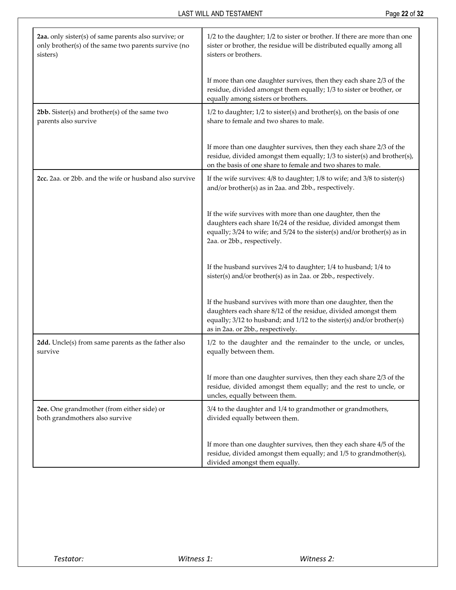| 2aa. only sister(s) of same parents also survive; or<br>only brother(s) of the same two parents survive (no<br>sisters) | 1/2 to the daughter; 1/2 to sister or brother. If there are more than one<br>sister or brother, the residue will be distributed equally among all<br>sisters or brothers.                                                                     |
|-------------------------------------------------------------------------------------------------------------------------|-----------------------------------------------------------------------------------------------------------------------------------------------------------------------------------------------------------------------------------------------|
|                                                                                                                         | If more than one daughter survives, then they each share 2/3 of the<br>residue, divided amongst them equally; 1/3 to sister or brother, or<br>equally among sisters or brothers.                                                              |
| $2bb$ . Sister(s) and brother(s) of the same two<br>parents also survive                                                | $1/2$ to daughter; $1/2$ to sister(s) and brother(s), on the basis of one<br>share to female and two shares to male.                                                                                                                          |
|                                                                                                                         | If more than one daughter survives, then they each share 2/3 of the<br>residue, divided amongst them equally; 1/3 to sister(s) and brother(s),<br>on the basis of one share to female and two shares to male.                                 |
| 2cc. 2aa. or 2bb. and the wife or husband also survive                                                                  | If the wife survives: $4/8$ to daughter; $1/8$ to wife; and $3/8$ to sister(s)<br>and/or brother(s) as in 2aa. and 2bb., respectively.                                                                                                        |
|                                                                                                                         | If the wife survives with more than one daughter, then the<br>daughters each share 16/24 of the residue, divided amongst them<br>equally; 3/24 to wife; and 5/24 to the sister(s) and/or brother(s) as in<br>2aa. or 2bb., respectively.      |
|                                                                                                                         | If the husband survives 2/4 to daughter; 1/4 to husband; 1/4 to<br>sister(s) and/or brother(s) as in 2aa. or 2bb., respectively.                                                                                                              |
|                                                                                                                         | If the husband survives with more than one daughter, then the<br>daughters each share 8/12 of the residue, divided amongst them<br>equally; 3/12 to husband; and 1/12 to the sister(s) and/or brother(s)<br>as in 2aa. or 2bb., respectively. |
| 2dd. Uncle(s) from same parents as the father also<br>survive                                                           | 1/2 to the daughter and the remainder to the uncle, or uncles,<br>equally between them.                                                                                                                                                       |
|                                                                                                                         | If more than one daughter survives, then they each share 2/3 of the<br>residue, divided amongst them equally; and the rest to uncle, or<br>uncles, equally between them.                                                                      |
| 2ee. One grandmother (from either side) or<br>both grandmothers also survive                                            | 3/4 to the daughter and 1/4 to grandmother or grandmothers,<br>divided equally between them.                                                                                                                                                  |
|                                                                                                                         | If more than one daughter survives, then they each share 4/5 of the<br>residue, divided amongst them equally; and 1/5 to grandmother(s),<br>divided amongst them equally.                                                                     |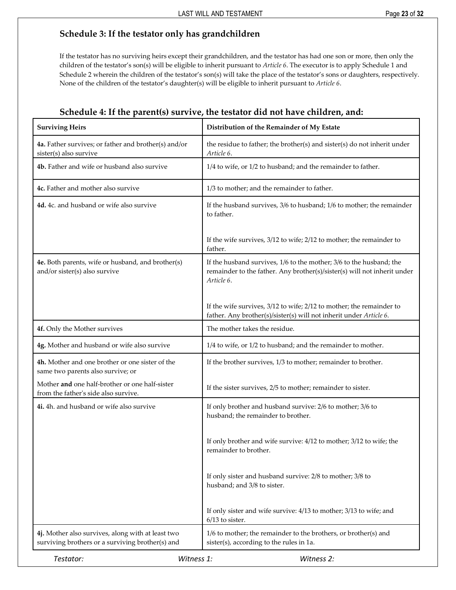### <span id="page-25-0"></span>**Schedule 3: If the testator only has grandchildren**

If the testator has no surviving heirs except their grandchildren, and the testator has had one son or more, then only the children of the testator's son(s) will be eligible to inherit pursuant to *Article 6*. The executor is to apply Schedule 1 and Schedule 2 wherein the children of the testator's son(s) will take the place of the testator's sons or daughters, respectively. None of the children of the testator's daughter(s) will be eligible to inherit pursuant to *Article 6*.

<span id="page-25-1"></span>

| <b>Surviving Heirs</b>                                                                                | Distribution of the Remainder of My Estate                                                                                                                    |
|-------------------------------------------------------------------------------------------------------|---------------------------------------------------------------------------------------------------------------------------------------------------------------|
| 4a. Father survives; or father and brother(s) and/or<br>sister(s) also survive                        | the residue to father; the brother(s) and sister(s) do not inherit under<br>Article 6.                                                                        |
| 4b. Father and wife or husband also survive                                                           | 1/4 to wife, or 1/2 to husband; and the remainder to father.                                                                                                  |
| 4c. Father and mother also survive                                                                    | 1/3 to mother; and the remainder to father.                                                                                                                   |
| 4d. 4c. and husband or wife also survive                                                              | If the husband survives, 3/6 to husband; 1/6 to mother; the remainder<br>to father.                                                                           |
|                                                                                                       | If the wife survives, 3/12 to wife; 2/12 to mother; the remainder to<br>father.                                                                               |
| 4e. Both parents, wife or husband, and brother(s)<br>and/or sister(s) also survive                    | If the husband survives, 1/6 to the mother; 3/6 to the husband; the<br>remainder to the father. Any brother(s)/sister(s) will not inherit under<br>Article 6. |
|                                                                                                       | If the wife survives, 3/12 to wife; 2/12 to mother; the remainder to<br>father. Any brother(s)/sister(s) will not inherit under Article 6.                    |
| 4f. Only the Mother survives                                                                          | The mother takes the residue.                                                                                                                                 |
| 4g. Mother and husband or wife also survive                                                           | 1/4 to wife, or 1/2 to husband; and the remainder to mother.                                                                                                  |
| 4h. Mother and one brother or one sister of the<br>same two parents also survive; or                  | If the brother survives, 1/3 to mother; remainder to brother.                                                                                                 |
| Mother and one half-brother or one half-sister<br>from the father's side also survive.                | If the sister survives, 2/5 to mother; remainder to sister.                                                                                                   |
| 4i. 4h. and husband or wife also survive                                                              | If only brother and husband survive: 2/6 to mother; 3/6 to<br>husband; the remainder to brother.                                                              |
|                                                                                                       | If only brother and wife survive: 4/12 to mother; 3/12 to wife; the<br>remainder to brother.                                                                  |
|                                                                                                       | If only sister and husband survive: 2/8 to mother; 3/8 to<br>husband; and 3/8 to sister.                                                                      |
|                                                                                                       | If only sister and wife survive: 4/13 to mother; 3/13 to wife; and<br>$6/13$ to sister.                                                                       |
| 4j. Mother also survives, along with at least two<br>surviving brothers or a surviving brother(s) and | 1/6 to mother; the remainder to the brothers, or brother(s) and<br>sister(s), according to the rules in 1a.                                                   |
| Testator:                                                                                             | Witness 1:<br>Witness 2:                                                                                                                                      |

### **Schedule 4: If the parent(s) survive, the testator did not have children, and:**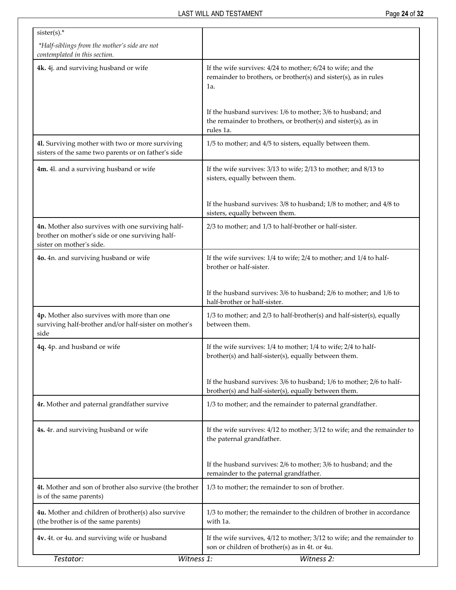| $sister(s).$ *                                                                                                                   |                                                                                                                                           |
|----------------------------------------------------------------------------------------------------------------------------------|-------------------------------------------------------------------------------------------------------------------------------------------|
| *Half-siblings from the mother's side are not<br>contemplated in this section.                                                   |                                                                                                                                           |
| 4k. 4j. and surviving husband or wife                                                                                            | If the wife survives: 4/24 to mother; 6/24 to wife; and the<br>remainder to brothers, or brother(s) and sister(s), as in rules<br>1a.     |
|                                                                                                                                  | If the husband survives: 1/6 to mother; 3/6 to husband; and<br>the remainder to brothers, or brother(s) and sister(s), as in<br>rules 1a. |
| 41. Surviving mother with two or more surviving<br>sisters of the same two parents or on father's side                           | 1/5 to mother; and 4/5 to sisters, equally between them.                                                                                  |
| 4m. 4l. and a surviving husband or wife                                                                                          | If the wife survives: 3/13 to wife; 2/13 to mother; and 8/13 to<br>sisters, equally between them.                                         |
|                                                                                                                                  | If the husband survives: 3/8 to husband; 1/8 to mother; and 4/8 to<br>sisters, equally between them.                                      |
| 4n. Mother also survives with one surviving half-<br>brother on mother's side or one surviving half-<br>sister on mother's side. | 2/3 to mother; and 1/3 to half-brother or half-sister.                                                                                    |
| 4o. 4n. and surviving husband or wife                                                                                            | If the wife survives: 1/4 to wife; 2/4 to mother; and 1/4 to half-<br>brother or half-sister.                                             |
|                                                                                                                                  | If the husband survives: 3/6 to husband; 2/6 to mother; and 1/6 to<br>half-brother or half-sister.                                        |
| 4p. Mother also survives with more than one<br>surviving half-brother and/or half-sister on mother's<br>side                     | 1/3 to mother; and 2/3 to half-brother(s) and half-sister(s), equally<br>between them.                                                    |
| 4q. 4p. and husband or wife                                                                                                      | If the wife survives: 1/4 to mother; 1/4 to wife; 2/4 to half-<br>brother(s) and half-sister(s), equally between them.                    |
|                                                                                                                                  | If the husband survives: 3/6 to husband; 1/6 to mother; 2/6 to half-<br>brother(s) and half-sister(s), equally between them.              |
| 4r. Mother and paternal grandfather survive                                                                                      | 1/3 to mother; and the remainder to paternal grandfather.                                                                                 |
| 4s. 4r. and surviving husband or wife                                                                                            | If the wife survives: 4/12 to mother; 3/12 to wife; and the remainder to<br>the paternal grandfather.                                     |
|                                                                                                                                  | If the husband survives: 2/6 to mother; 3/6 to husband; and the<br>remainder to the paternal grandfather.                                 |
| 4t. Mother and son of brother also survive (the brother<br>is of the same parents)                                               | 1/3 to mother; the remainder to son of brother.                                                                                           |
| 4u. Mother and children of brother(s) also survive<br>(the brother is of the same parents)                                       | 1/3 to mother; the remainder to the children of brother in accordance<br>with 1a.                                                         |
| 4v. 4t. or 4u. and surviving wife or husband                                                                                     | If the wife survives, 4/12 to mother; 3/12 to wife; and the remainder to<br>son or children of brother(s) as in 4t. or 4u.                |
| Witness 1:<br>Testator:                                                                                                          | Witness 2:                                                                                                                                |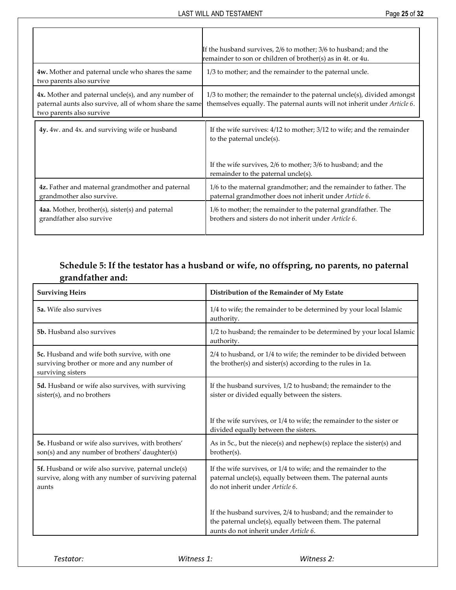|                                                                                                                                            | If the husband survives, 2/6 to mother; 3/6 to husband; and the<br>remainder to son or children of brother(s) as in 4t. or 4u.                       |
|--------------------------------------------------------------------------------------------------------------------------------------------|------------------------------------------------------------------------------------------------------------------------------------------------------|
| 4w. Mother and paternal uncle who shares the same<br>two parents also survive                                                              | 1/3 to mother; and the remainder to the paternal uncle.                                                                                              |
| 4x. Mother and paternal uncle(s), and any number of<br>paternal aunts also survive, all of whom share the same<br>two parents also survive | $1/3$ to mother; the remainder to the paternal uncle(s), divided amongst<br>themselves equally. The paternal aunts will not inherit under Article 6. |
| 4y. 4w. and 4x. and surviving wife or husband                                                                                              | If the wife survives: $4/12$ to mother; $3/12$ to wife; and the remainder<br>to the paternal uncle $(s)$ .                                           |
|                                                                                                                                            | If the wife survives, 2/6 to mother; 3/6 to husband; and the<br>remainder to the paternal uncle(s).                                                  |
| 4z. Father and maternal grandmother and paternal<br>grandmother also survive.                                                              | 1/6 to the maternal grandmother; and the remainder to father. The<br>paternal grandmother does not inherit under Article 6.                          |
| 4aa. Mother, brother(s), sister(s) and paternal<br>grandfather also survive                                                                | 1/6 to mother; the remainder to the paternal grandfather. The<br>brothers and sisters do not inherit under Article 6.                                |

# **Schedule 5: If the testator has a husband or wife, no offspring, no parents, no paternal grandfather and:**

<span id="page-27-0"></span>

| <b>Surviving Heirs</b>                                                                                               | Distribution of the Remainder of My Estate                                                                                                                          |
|----------------------------------------------------------------------------------------------------------------------|---------------------------------------------------------------------------------------------------------------------------------------------------------------------|
| <b>5a.</b> Wife also survives                                                                                        | 1/4 to wife; the remainder to be determined by your local Islamic<br>authority.                                                                                     |
| 5b. Husband also survives                                                                                            | 1/2 to husband; the remainder to be determined by your local Islamic<br>authority.                                                                                  |
| 5c. Husband and wife both survive, with one<br>surviving brother or more and any number of<br>surviving sisters      | 2/4 to husband, or 1/4 to wife; the reminder to be divided between<br>the brother(s) and sister(s) according to the rules in 1a.                                    |
| 5d. Husband or wife also survives, with surviving<br>sister(s), and no brothers                                      | If the husband survives, 1/2 to husband; the remainder to the<br>sister or divided equally between the sisters.                                                     |
|                                                                                                                      | If the wife survives, or 1/4 to wife; the remainder to the sister or<br>divided equally between the sisters.                                                        |
| 5e. Husband or wife also survives, with brothers'<br>son(s) and any number of brothers' daughter(s)                  | As in 5c., but the niece(s) and nephew(s) replace the sister(s) and<br>brother(s).                                                                                  |
| 5f. Husband or wife also survive, paternal uncle(s)<br>survive, along with any number of surviving paternal<br>aunts | If the wife survives, or 1/4 to wife; and the remainder to the<br>paternal uncle(s), equally between them. The paternal aunts<br>do not inherit under Article 6.    |
|                                                                                                                      | If the husband survives, 2/4 to husband; and the remainder to<br>the paternal uncle(s), equally between them. The paternal<br>aunts do not inherit under Article 6. |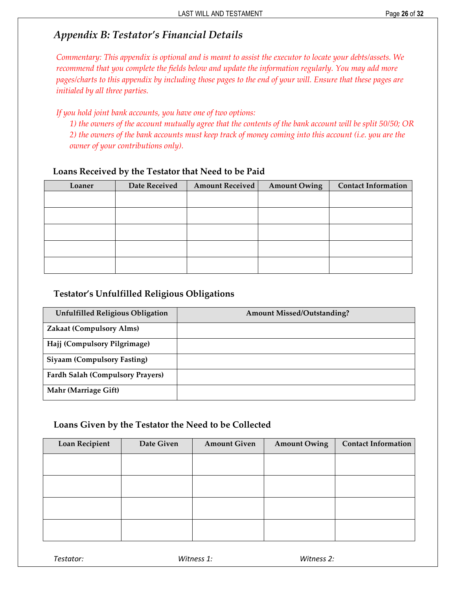## <span id="page-28-0"></span>*Appendix B: Testator's Financial Details*

*Commentary: This appendix is optional and is meant to assist the executor to locate your debts/assets. We recommend that you complete the fields below and update the information regularly. You may add more pages/charts to this appendix by including those pages to the end of your will. Ensure that these pages are initialed by all three parties.* 

*If you hold joint bank accounts, you have one of two options:* 

*1) the owners of the account mutually agree that the contents of the bank account will be split 50/50; OR 2) the owners of the bank accounts must keep track of money coming into this account (i.e. you are the owner of your contributions only).*

#### **Loans Received by the Testator that Need to be Paid**

| Loaner | Date Received | <b>Amount Received</b> | <b>Amount Owing</b> | <b>Contact Information</b> |
|--------|---------------|------------------------|---------------------|----------------------------|
|        |               |                        |                     |                            |
|        |               |                        |                     |                            |
|        |               |                        |                     |                            |
|        |               |                        |                     |                            |
|        |               |                        |                     |                            |
|        |               |                        |                     |                            |

### **Testator's Unfulfilled Religious Obligations**

| <b>Unfulfilled Religious Obligation</b> | <b>Amount Missed/Outstanding?</b> |
|-----------------------------------------|-----------------------------------|
| <b>Zakaat (Compulsory Alms)</b>         |                                   |
| Hajj (Compulsory Pilgrimage)            |                                   |
| <b>Siyaam (Compulsory Fasting)</b>      |                                   |
| <b>Fardh Salah (Compulsory Prayers)</b> |                                   |
| Mahr (Marriage Gift)                    |                                   |

#### **Loans Given by the Testator the Need to be Collected**

| Loan Recipient | Date Given | <b>Amount Given</b> | <b>Amount Owing</b> | <b>Contact Information</b> |
|----------------|------------|---------------------|---------------------|----------------------------|
|                |            |                     |                     |                            |
|                |            |                     |                     |                            |
|                |            |                     |                     |                            |
|                |            |                     |                     |                            |
|                |            |                     |                     |                            |
|                |            |                     |                     |                            |

*Testator: Witness 1: Witness 2:*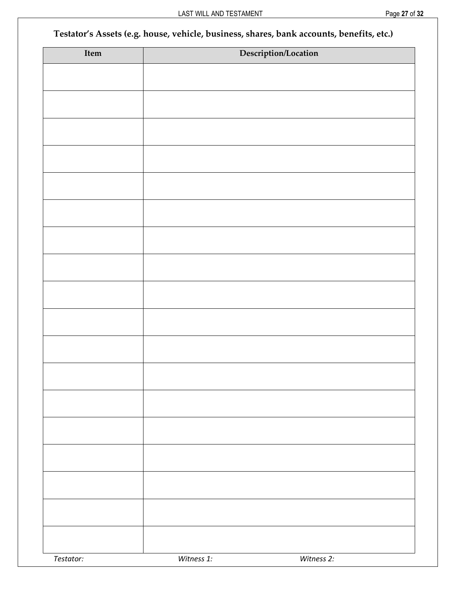# **Testator's Assets (e.g. house, vehicle, business, shares, bank accounts, benefits, etc.)**

| Item      |            | Description/Location |
|-----------|------------|----------------------|
|           |            |                      |
|           |            |                      |
|           |            |                      |
|           |            |                      |
|           |            |                      |
|           |            |                      |
|           |            |                      |
|           |            |                      |
|           |            |                      |
|           |            |                      |
|           |            |                      |
|           |            |                      |
|           |            |                      |
|           |            |                      |
|           |            |                      |
|           |            |                      |
|           |            |                      |
|           |            |                      |
|           |            |                      |
|           |            |                      |
|           |            |                      |
|           |            |                      |
|           |            |                      |
|           |            |                      |
|           |            |                      |
|           |            |                      |
| Testator: | Witness 1: | Witness 2:           |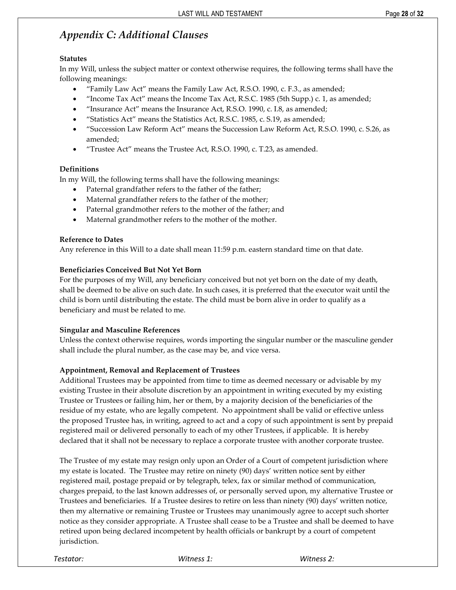# <span id="page-30-0"></span>*Appendix C: Additional Clauses*

#### **Statutes**

In my Will, unless the subject matter or context otherwise requires, the following terms shall have the following meanings:

- "Family Law Act" means the Family Law Act, R.S.O. 1990, c. F.3., as amended;
- "Income Tax Act" means the Income Tax Act, R.S.C. 1985 (5th Supp.) c. 1, as amended;
- "Insurance Act" means the Insurance Act, R.S.O. 1990, c. I.8, as amended;
- "Statistics Act" means the Statistics Act, R.S.C. 1985, c. S.19, as amended;
- "Succession Law Reform Act" means the Succession Law Reform Act, R.S.O. 1990, c. S.26, as amended;
- "Trustee Act" means the Trustee Act, R.S.O. 1990, c. T.23, as amended.

#### **Definitions**

In my Will, the following terms shall have the following meanings:

- Paternal grandfather refers to the father of the father;
- Maternal grandfather refers to the father of the mother;
- Paternal grandmother refers to the mother of the father; and
- Maternal grandmother refers to the mother of the mother.

#### **Reference to Dates**

Any reference in this Will to a date shall mean 11:59 p.m. eastern standard time on that date.

#### **Beneficiaries Conceived But Not Yet Born**

For the purposes of my Will, any beneficiary conceived but not yet born on the date of my death, shall be deemed to be alive on such date. In such cases, it is preferred that the executor wait until the child is born until distributing the estate. The child must be born alive in order to qualify as a beneficiary and must be related to me.

#### **Singular and Masculine References**

Unless the context otherwise requires, words importing the singular number or the masculine gender shall include the plural number, as the case may be, and vice versa.

#### **Appointment, Removal and Replacement of Trustees**

Additional Trustees may be appointed from time to time as deemed necessary or advisable by my existing Trustee in their absolute discretion by an appointment in writing executed by my existing Trustee or Trustees or failing him, her or them, by a majority decision of the beneficiaries of the residue of my estate, who are legally competent. No appointment shall be valid or effective unless the proposed Trustee has, in writing, agreed to act and a copy of such appointment is sent by prepaid registered mail or delivered personally to each of my other Trustees, if applicable. It is hereby declared that it shall not be necessary to replace a corporate trustee with another corporate trustee.

The Trustee of my estate may resign only upon an Order of a Court of competent jurisdiction where my estate is located. The Trustee may retire on ninety (90) days' written notice sent by either registered mail, postage prepaid or by telegraph, telex, fax or similar method of communication, charges prepaid, to the last known addresses of, or personally served upon, my alternative Trustee or Trustees and beneficiaries. If a Trustee desires to retire on less than ninety (90) days' written notice, then my alternative or remaining Trustee or Trustees may unanimously agree to accept such shorter notice as they consider appropriate. A Trustee shall cease to be a Trustee and shall be deemed to have retired upon being declared incompetent by health officials or bankrupt by a court of competent jurisdiction.

| Testator: | Witness 1: | Witness 2: |
|-----------|------------|------------|
|           |            |            |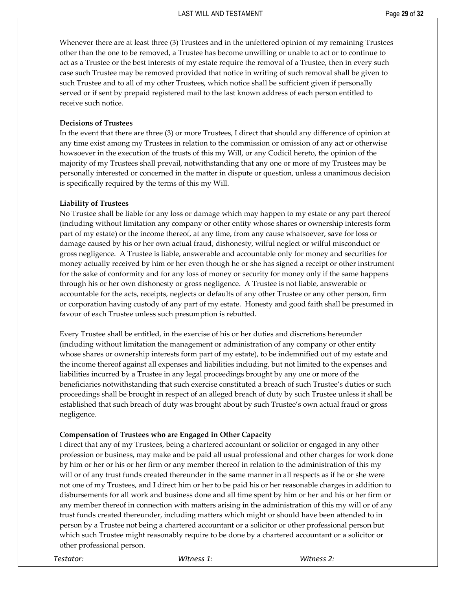Whenever there are at least three (3) Trustees and in the unfettered opinion of my remaining Trustees other than the one to be removed, a Trustee has become unwilling or unable to act or to continue to act as a Trustee or the best interests of my estate require the removal of a Trustee, then in every such case such Trustee may be removed provided that notice in writing of such removal shall be given to such Trustee and to all of my other Trustees, which notice shall be sufficient given if personally served or if sent by prepaid registered mail to the last known address of each person entitled to receive such notice.

#### **Decisions of Trustees**

In the event that there are three (3) or more Trustees, I direct that should any difference of opinion at any time exist among my Trustees in relation to the commission or omission of any act or otherwise howsoever in the execution of the trusts of this my Will, or any Codicil hereto, the opinion of the majority of my Trustees shall prevail, notwithstanding that any one or more of my Trustees may be personally interested or concerned in the matter in dispute or question, unless a unanimous decision is specifically required by the terms of this my Will.

#### **Liability of Trustees**

No Trustee shall be liable for any loss or damage which may happen to my estate or any part thereof (including without limitation any company or other entity whose shares or ownership interests form part of my estate) or the income thereof, at any time, from any cause whatsoever, save for loss or damage caused by his or her own actual fraud, dishonesty, wilful neglect or wilful misconduct or gross negligence. A Trustee is liable, answerable and accountable only for money and securities for money actually received by him or her even though he or she has signed a receipt or other instrument for the sake of conformity and for any loss of money or security for money only if the same happens through his or her own dishonesty or gross negligence. A Trustee is not liable, answerable or accountable for the acts, receipts, neglects or defaults of any other Trustee or any other person, firm or corporation having custody of any part of my estate. Honesty and good faith shall be presumed in favour of each Trustee unless such presumption is rebutted.

Every Trustee shall be entitled, in the exercise of his or her duties and discretions hereunder (including without limitation the management or administration of any company or other entity whose shares or ownership interests form part of my estate), to be indemnified out of my estate and the income thereof against all expenses and liabilities including, but not limited to the expenses and liabilities incurred by a Trustee in any legal proceedings brought by any one or more of the beneficiaries notwithstanding that such exercise constituted a breach of such Trustee's duties or such proceedings shall be brought in respect of an alleged breach of duty by such Trustee unless it shall be established that such breach of duty was brought about by such Trustee's own actual fraud or gross negligence.

#### **Compensation of Trustees who are Engaged in Other Capacity**

I direct that any of my Trustees, being a chartered accountant or solicitor or engaged in any other profession or business, may make and be paid all usual professional and other charges for work done by him or her or his or her firm or any member thereof in relation to the administration of this my will or of any trust funds created thereunder in the same manner in all respects as if he or she were not one of my Trustees, and I direct him or her to be paid his or her reasonable charges in addition to disbursements for all work and business done and all time spent by him or her and his or her firm or any member thereof in connection with matters arising in the administration of this my will or of any trust funds created thereunder, including matters which might or should have been attended to in person by a Trustee not being a chartered accountant or a solicitor or other professional person but which such Trustee might reasonably require to be done by a chartered accountant or a solicitor or other professional person.

*Testator: Witness 1: Witness 2:*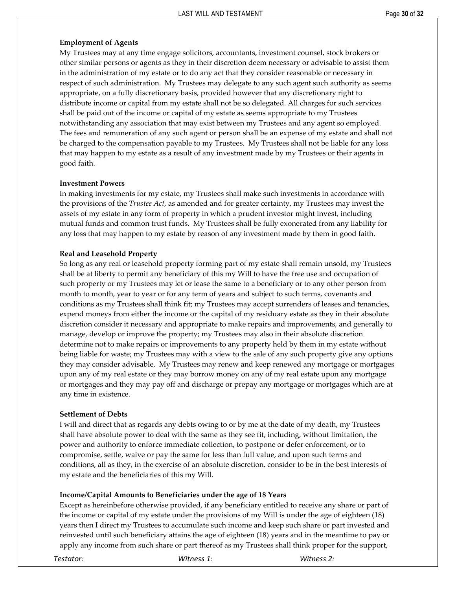#### **Employment of Agents**

My Trustees may at any time engage solicitors, accountants, investment counsel, stock brokers or other similar persons or agents as they in their discretion deem necessary or advisable to assist them in the administration of my estate or to do any act that they consider reasonable or necessary in respect of such administration. My Trustees may delegate to any such agent such authority as seems appropriate, on a fully discretionary basis, provided however that any discretionary right to distribute income or capital from my estate shall not be so delegated. All charges for such services shall be paid out of the income or capital of my estate as seems appropriate to my Trustees notwithstanding any association that may exist between my Trustees and any agent so employed. The fees and remuneration of any such agent or person shall be an expense of my estate and shall not be charged to the compensation payable to my Trustees. My Trustees shall not be liable for any loss that may happen to my estate as a result of any investment made by my Trustees or their agents in good faith.

#### **Investment Powers**

In making investments for my estate, my Trustees shall make such investments in accordance with the provisions of the *Trustee Act*, as amended and for greater certainty, my Trustees may invest the assets of my estate in any form of property in which a prudent investor might invest, including mutual funds and common trust funds. My Trustees shall be fully exonerated from any liability for any loss that may happen to my estate by reason of any investment made by them in good faith.

#### **Real and Leasehold Property**

So long as any real or leasehold property forming part of my estate shall remain unsold, my Trustees shall be at liberty to permit any beneficiary of this my Will to have the free use and occupation of such property or my Trustees may let or lease the same to a beneficiary or to any other person from month to month, year to year or for any term of years and subject to such terms, covenants and conditions as my Trustees shall think fit; my Trustees may accept surrenders of leases and tenancies, expend moneys from either the income or the capital of my residuary estate as they in their absolute discretion consider it necessary and appropriate to make repairs and improvements, and generally to manage, develop or improve the property; my Trustees may also in their absolute discretion determine not to make repairs or improvements to any property held by them in my estate without being liable for waste; my Trustees may with a view to the sale of any such property give any options they may consider advisable. My Trustees may renew and keep renewed any mortgage or mortgages upon any of my real estate or they may borrow money on any of my real estate upon any mortgage or mortgages and they may pay off and discharge or prepay any mortgage or mortgages which are at any time in existence.

#### **Settlement of Debts**

I will and direct that as regards any debts owing to or by me at the date of my death, my Trustees shall have absolute power to deal with the same as they see fit, including, without limitation, the power and authority to enforce immediate collection, to postpone or defer enforcement, or to compromise, settle, waive or pay the same for less than full value, and upon such terms and conditions, all as they, in the exercise of an absolute discretion, consider to be in the best interests of my estate and the beneficiaries of this my Will.

#### **Income/Capital Amounts to Beneficiaries under the age of 18 Years**

Except as hereinbefore otherwise provided, if any beneficiary entitled to receive any share or part of the income or capital of my estate under the provisions of my Will is under the age of eighteen (18) years then I direct my Trustees to accumulate such income and keep such share or part invested and reinvested until such beneficiary attains the age of eighteen (18) years and in the meantime to pay or apply any income from such share or part thereof as my Trustees shall think proper for the support,

*Testator: Witness 1: Witness 2:*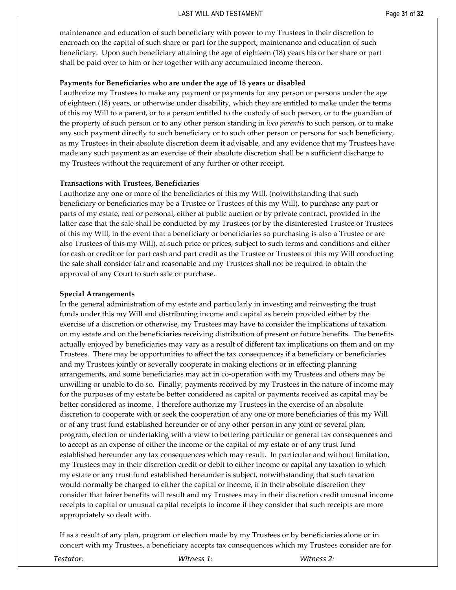maintenance and education of such beneficiary with power to my Trustees in their discretion to encroach on the capital of such share or part for the support, maintenance and education of such beneficiary. Upon such beneficiary attaining the age of eighteen (18) years his or her share or part shall be paid over to him or her together with any accumulated income thereon.

#### **Payments for Beneficiaries who are under the age of 18 years or disabled**

I authorize my Trustees to make any payment or payments for any person or persons under the age of eighteen (18) years, or otherwise under disability, which they are entitled to make under the terms of this my Will to a parent, or to a person entitled to the custody of such person, or to the guardian of the property of such person or to any other person standing in *loco parentis* to such person, or to make any such payment directly to such beneficiary or to such other person or persons for such beneficiary, as my Trustees in their absolute discretion deem it advisable, and any evidence that my Trustees have made any such payment as an exercise of their absolute discretion shall be a sufficient discharge to my Trustees without the requirement of any further or other receipt.

#### **Transactions with Trustees, Beneficiaries**

I authorize any one or more of the beneficiaries of this my Will, (notwithstanding that such beneficiary or beneficiaries may be a Trustee or Trustees of this my Will), to purchase any part or parts of my estate, real or personal, either at public auction or by private contract, provided in the latter case that the sale shall be conducted by my Trustees (or by the disinterested Trustee or Trustees of this my Will, in the event that a beneficiary or beneficiaries so purchasing is also a Trustee or are also Trustees of this my Will), at such price or prices, subject to such terms and conditions and either for cash or credit or for part cash and part credit as the Trustee or Trustees of this my Will conducting the sale shall consider fair and reasonable and my Trustees shall not be required to obtain the approval of any Court to such sale or purchase.

#### **Special Arrangements**

In the general administration of my estate and particularly in investing and reinvesting the trust funds under this my Will and distributing income and capital as herein provided either by the exercise of a discretion or otherwise, my Trustees may have to consider the implications of taxation on my estate and on the beneficiaries receiving distribution of present or future benefits. The benefits actually enjoyed by beneficiaries may vary as a result of different tax implications on them and on my Trustees. There may be opportunities to affect the tax consequences if a beneficiary or beneficiaries and my Trustees jointly or severally cooperate in making elections or in effecting planning arrangements, and some beneficiaries may act in co-operation with my Trustees and others may be unwilling or unable to do so. Finally, payments received by my Trustees in the nature of income may for the purposes of my estate be better considered as capital or payments received as capital may be better considered as income. I therefore authorize my Trustees in the exercise of an absolute discretion to cooperate with or seek the cooperation of any one or more beneficiaries of this my Will or of any trust fund established hereunder or of any other person in any joint or several plan, program, election or undertaking with a view to bettering particular or general tax consequences and to accept as an expense of either the income or the capital of my estate or of any trust fund established hereunder any tax consequences which may result. In particular and without limitation, my Trustees may in their discretion credit or debit to either income or capital any taxation to which my estate or any trust fund established hereunder is subject, notwithstanding that such taxation would normally be charged to either the capital or income, if in their absolute discretion they consider that fairer benefits will result and my Trustees may in their discretion credit unusual income receipts to capital or unusual capital receipts to income if they consider that such receipts are more appropriately so dealt with.

If as a result of any plan, program or election made by my Trustees or by beneficiaries alone or in concert with my Trustees, a beneficiary accepts tax consequences which my Trustees consider are for